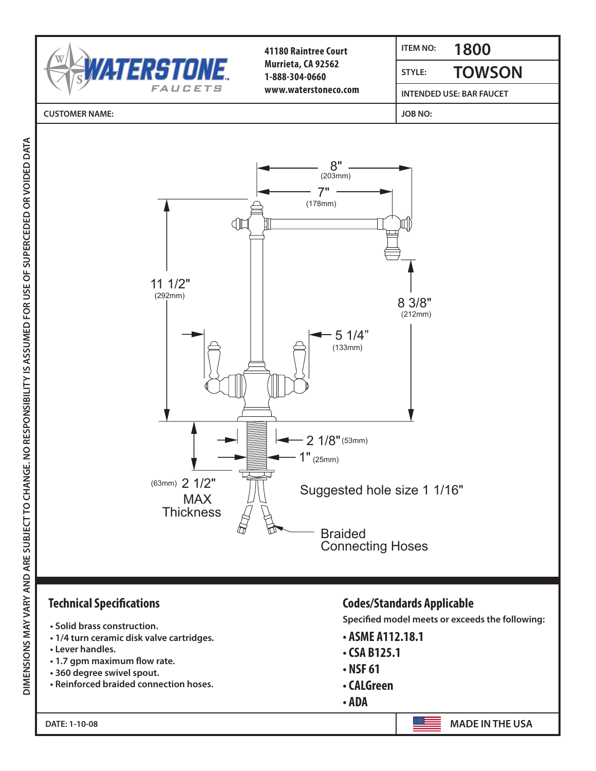

- **Solid brass construction.**
- **1/4 turn ceramic disk valve cartridges.**
- **Lever handles.**
- **1.7 gpm maximum flow rate.**
- **360 degree swivel spout.**
- **Reinforced braided connection hoses.**

## **Technical Specifications Codes/Standards Applicable**

**Specified model meets or exceeds the following:**

- **ASME A112.18.1**
- **CSA B125.1**
- **NSF 61**
- **CALGreen**
- **ADA**

**MADE IN THE USA**